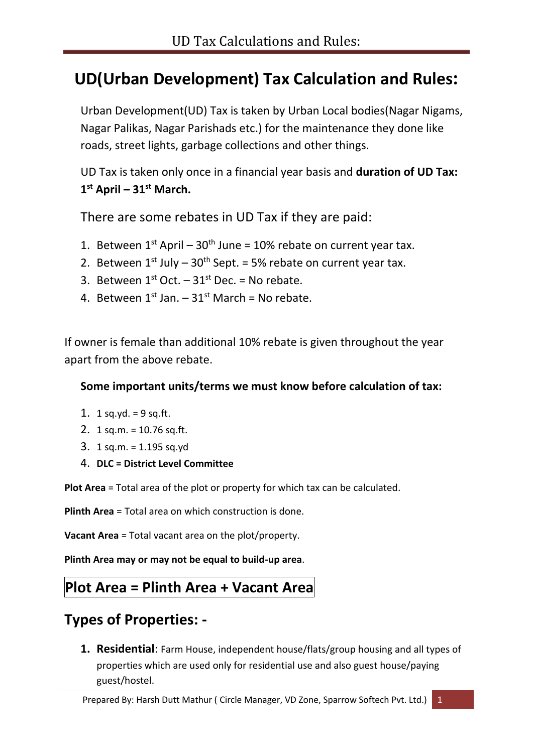### **UD(Urban Development) Tax Calculation and Rules:**

Urban Development(UD) Tax is taken by Urban Local bodies(Nagar Nigams, Nagar Palikas, Nagar Parishads etc.) for the maintenance they done like roads, street lights, garbage collections and other things.

UD Tax is taken only once in a financial year basis and **duration of UD Tax: 1 st April – 31st March.**

There are some rebates in UD Tax if they are paid:

- 1. Between  $1^{st}$  April  $30^{th}$  June = 10% rebate on current year tax.
- 2. Between  $1^{st}$  July  $30^{th}$  Sept. = 5% rebate on current year tax.
- 3. Between  $1^{st}$  Oct.  $-31^{st}$  Dec. = No rebate.
- 4. Between  $1^{st}$  Jan.  $-31^{st}$  March = No rebate.

If owner is female than additional 10% rebate is given throughout the year apart from the above rebate.

#### **Some important units/terms we must know before calculation of tax:**

- 1. 1 sq.yd. =  $9$  sq.ft.
- 2. 1 sq.m. = 10.76 sq.ft.
- 3. 1 sq.m. = 1.195 sq.yd
- 4. **DLC = District Level Committee**

**Plot Area** = Total area of the plot or property for which tax can be calculated.

**Plinth Area** = Total area on which construction is done.

**Vacant Area** = Total vacant area on the plot/property.

**Plinth Area may or may not be equal to build-up area**.

### **Plot Area = Plinth Area + Vacant Area**

### **Types of Properties: -**

**1. Residential**: Farm House, independent house/flats/group housing and all types of properties which are used only for residential use and also guest house/paying guest/hostel.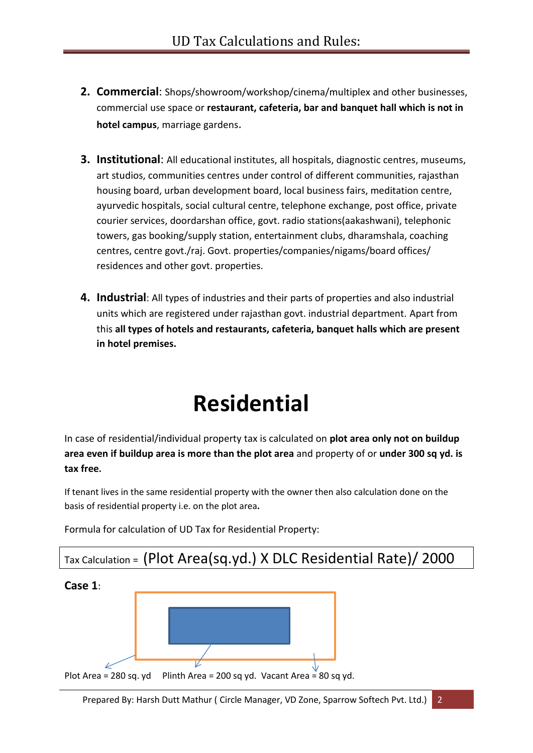- **2. Commercial**: Shops/showroom/workshop/cinema/multiplex and other businesses, commercial use space or **restaurant, cafeteria, bar and banquet hall which is not in hotel campus**, marriage gardens.
- **3. Institutional**: All educational institutes, all hospitals, diagnostic centres, museums, art studios, communities centres under control of different communities, rajasthan housing board, urban development board, local business fairs, meditation centre, ayurvedic hospitals, social cultural centre, telephone exchange, post office, private courier services, doordarshan office, govt. radio stations(aakashwani), telephonic towers, gas booking/supply station, entertainment clubs, dharamshala, coaching centres, centre govt./raj. Govt. properties/companies/nigams/board offices/ residences and other govt. properties.
- **4. Industrial**: All types of industries and their parts of properties and also industrial units which are registered under rajasthan govt. industrial department. Apart from this **all types of hotels and restaurants, cafeteria, banquet halls which are present in hotel premises.**

# **Residential**

In case of residential/individual property tax is calculated on **plot area only not on buildup area even if buildup area is more than the plot area** and property of or **under 300 sq yd. is tax free.**

If tenant lives in the same residential property with the owner then also calculation done on the basis of residential property i.e. on the plot area**.**



Formula for calculation of UD Tax for Residential Property: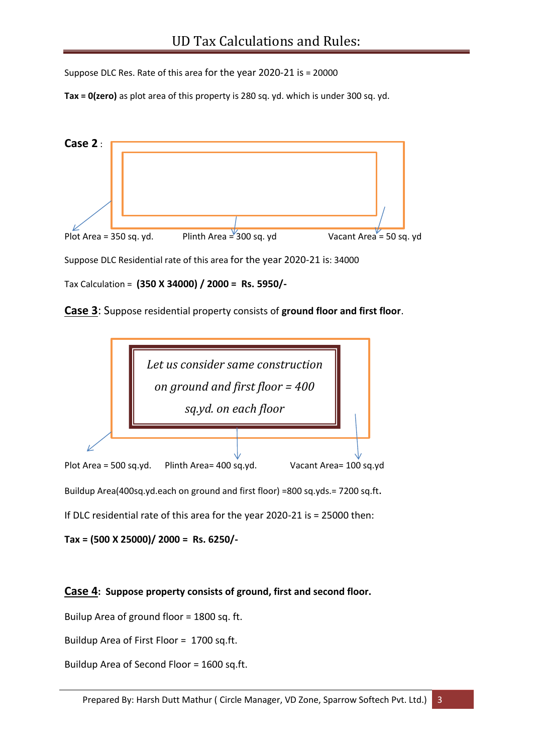Suppose DLC Res. Rate of this area for the year 2020-21 is = 20000

**Tax = 0(zero)** as plot area of this property is 280 sq. yd. which is under 300 sq. yd.



Tax Calculation = **(350 X 34000) / 2000 = Rs. 5950/-**

**Case 3**: Suppose residential property consists of **ground floor and first floor**.



If DLC residential rate of this area for the year 2020-21 is = 25000 then:

**Tax = (500 X 25000)/ 2000 = Rs. 6250/-**

#### **Case 4: Suppose property consists of ground, first and second floor.**

Builup Area of ground floor = 1800 sq. ft.

Buildup Area of First Floor = 1700 sq.ft.

Buildup Area of Second Floor = 1600 sq.ft.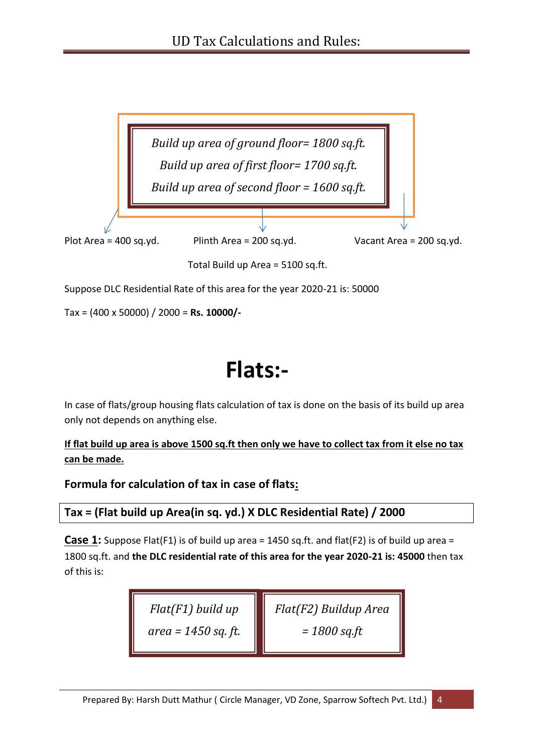

Suppose DLC Residential Rate of this area for the year 2020-21 is: 50000

Tax = (400 x 50000) / 2000 = **Rs. 10000/-**

## **Flats:-**

In case of flats/group housing flats calculation of tax is done on the basis of its build up area only not depends on anything else.

**If flat build up area is above 1500 sq.ft then only we have to collect tax from it else no tax can be made.**

**Formula for calculation of tax in case of flats:**

**Tax = (Flat build up Area(in sq. yd.) X DLC Residential Rate) / 2000**

**Case 1:** Suppose Flat(F1) is of build up area = 1450 sq.ft. and flat(F2) is of build up area = 1800 sq.ft. and **the DLC residential rate of this area for the year 2020-21 is: 45000** then tax of this is:

> *Flat(F2) Buildup Area = 1800 sq.ft Flat(F1) build up area = 1450 sq. ft.*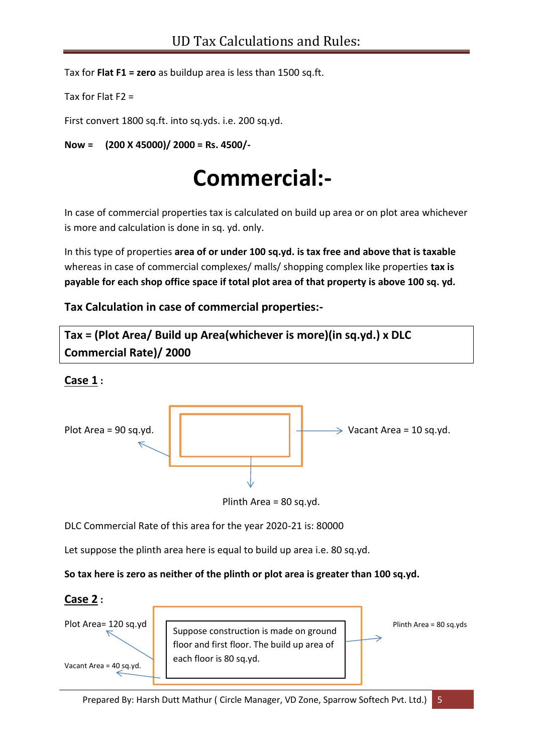Tax for **Flat F1 = zero** as buildup area is less than 1500 sq.ft.

```
Tax for Flat F2 =
```
First convert 1800 sq.ft. into sq.yds. i.e. 200 sq.yd.

**Now = (200 X 45000)/ 2000 = Rs. 4500/-**

## **Commercial:-**

In case of commercial properties tax is calculated on build up area or on plot area whichever is more and calculation is done in sq. yd. only.

In this type of properties **area of or under 100 sq.yd. is tax free and above that is taxable** whereas in case of commercial complexes/ malls/ shopping complex like properties **tax is payable for each shop office space if total plot area of that property is above 100 sq. yd.**

**Tax Calculation in case of commercial properties:-**



#### **Case 1 :**



Plinth Area = 80 sq.yd.

DLC Commercial Rate of this area for the year 2020-21 is: 80000

Let suppose the plinth area here is equal to build up area i.e. 80 sq.yd.

**So tax here is zero as neither of the plinth or plot area is greater than 100 sq.yd.**

#### **Case 2 :**

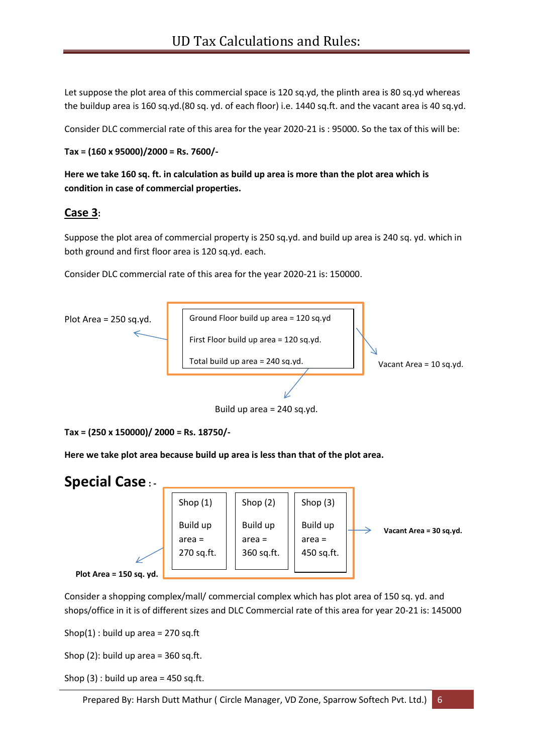Let suppose the plot area of this commercial space is 120 sq.yd, the plinth area is 80 sq.yd whereas the buildup area is 160 sq.yd.(80 sq. yd. of each floor) i.e. 1440 sq.ft. and the vacant area is 40 sq.yd.

Consider DLC commercial rate of this area for the year 2020-21 is : 95000. So the tax of this will be:

```
Tax = (160 x 95000)/2000 = Rs. 7600/-
```
**Here we take 160 sq. ft. in calculation as build up area is more than the plot area which is condition in case of commercial properties.**

#### **Case 3:**

Suppose the plot area of commercial property is 250 sq.yd. and build up area is 240 sq. yd. which in both ground and first floor area is 120 sq.yd. each.

Consider DLC commercial rate of this area for the year 2020-21 is: 150000.



```
Tax = (250 x 150000)/ 2000 = Rs. 18750/-
```
**Here we take plot area because build up area is less than that of the plot area.** 



Consider a shopping complex/mall/ commercial complex which has plot area of 150 sq. yd. and shops/office in it is of different sizes and DLC Commercial rate of this area for year 20-21 is: 145000

Shop $(1)$ : build up area = 270 sq.ft

Shop  $(2)$ : build up area = 360 sq.ft.

Shop  $(3)$ : build up area = 450 sq.ft.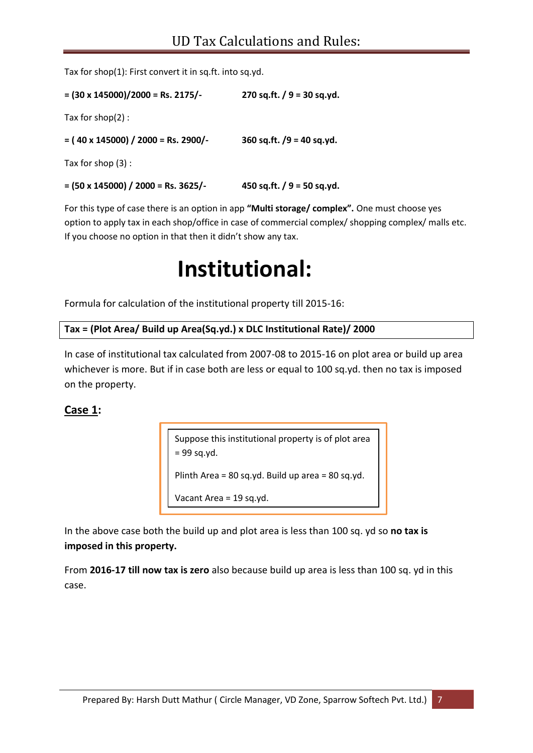Tax for shop(1): First convert it in sq.ft. into sq.yd.

**= (30 x 145000)/2000 = Rs. 2175/- 270 sq.ft. / 9 = 30 sq.yd.** Tax for shop(2) : **= ( 40 x 145000) / 2000 = Rs. 2900/- 360 sq.ft. /9 = 40 sq.yd.**

Tax for shop (3) :

**= (50 x 145000) / 2000 = Rs. 3625/- 450 sq.ft. / 9 = 50 sq.yd.**

For this type of case there is an option in app **"Multi storage/ complex".** One must choose yes option to apply tax in each shop/office in case of commercial complex/ shopping complex/ malls etc. If you choose no option in that then it didn't show any tax.

## **Institutional:**

Formula for calculation of the institutional property till 2015-16:

```
Tax = (Plot Area/ Build up Area(Sq.yd.) x DLC Institutional Rate)/ 2000
```
In case of institutional tax calculated from 2007-08 to 2015-16 on plot area or build up area whichever is more. But if in case both are less or equal to 100 sq.yd. then no tax is imposed on the property.

#### **Case 1:**

Suppose this institutional property is of plot area = 99 sq.yd. Plinth Area = 80 sq.yd. Build up area = 80 sq.yd. Vacant Area = 19 sq.yd.

In the above case both the build up and plot area is less than 100 sq. yd so **no tax is imposed in this property.**

From **2016-17 till now tax is zero** also because build up area is less than 100 sq. yd in this case.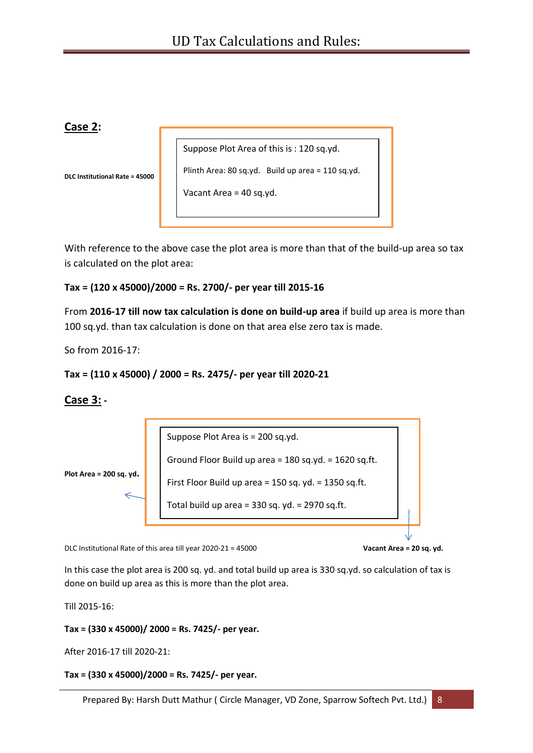#### **Case 2:**

Suppose Plot Area of this is : 120 sq.yd.

**DLC Institutional Rate = 45000**

Plinth Area: 80 sq.yd. Build up area = 110 sq.yd.

Vacant Area = 40 sq.yd.

With reference to the above case the plot area is more than that of the build-up area so tax is calculated on the plot area:

#### **Tax = (120 x 45000)/2000 = Rs. 2700/- per year till 2015-16**

From **2016-17 till now tax calculation is done on build-up area** if build up area is more than 100 sq.yd. than tax calculation is done on that area else zero tax is made.

So from 2016-17:

```
Tax = (110 x 45000) / 2000 = Rs. 2475/- per year till 2020-21
```
#### **Case 3: -**



DLC Institutional Rate of this area till year 2020-21 = 45000 **Vacant Area = 20 sq. yd.**

In this case the plot area is 200 sq. yd. and total build up area is 330 sq.yd. so calculation of tax is done on build up area as this is more than the plot area.

Till 2015-16:

**Tax = (330 x 45000)/ 2000 = Rs. 7425/- per year.** 

After 2016-17 till 2020-21:

**Tax = (330 x 45000)/2000 = Rs. 7425/- per year.**